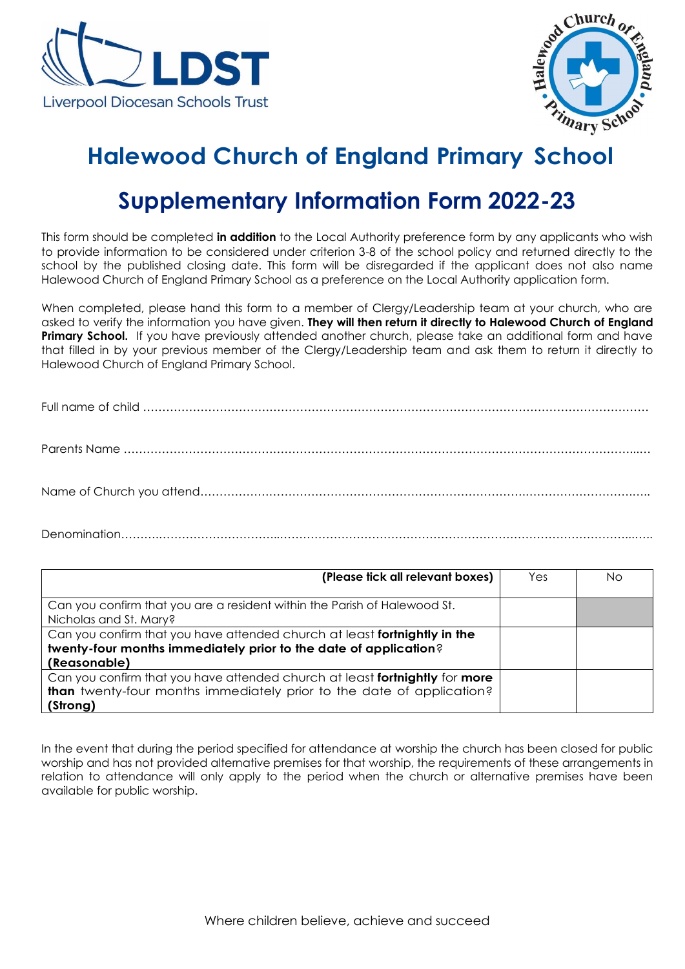



## **Halewood Church of England Primary School**

## **Supplementary Information Form 2022-23**

This form should be completed **in addition** to the Local Authority preference form by any applicants who wish to provide information to be considered under criterion 3-8 of the school policy and returned directly to the school by the published closing date. This form will be disregarded if the applicant does not also name Halewood Church of England Primary School as a preference on the Local Authority application form.

When completed, please hand this form to a member of Clergy/Leadership team at your church, who are asked to verify the information you have given. **They will then return it directly to Halewood Church of England Primary School.** If you have previously attended another church, please take an additional form and have that filled in by your previous member of the Clergy/Leadership team and ask them to return it directly to Halewood Church of England Primary School.

Full name of child …………………………………………………………………………………………………………………… Parents Name ……………………………………………………………………………………………………………………...…

Name of Church you attend………………………………………………………………………….……………………….…..

Denomination……….…………………………..………………………………………………………………………………...…..

| (Please tick all relevant boxes)                                            | Yes | No. |
|-----------------------------------------------------------------------------|-----|-----|
|                                                                             |     |     |
| Can you confirm that you are a resident within the Parish of Halewood St.   |     |     |
| Nicholas and St. Mary?                                                      |     |     |
| Can you confirm that you have attended church at least fortnightly in the   |     |     |
| twenty-four months immediately prior to the date of application?            |     |     |
| (Reasonable)                                                                |     |     |
| Can you confirm that you have attended church at least fortnightly for more |     |     |
| than twenty-four months immediately prior to the date of application?       |     |     |
| (Strong)                                                                    |     |     |

In the event that during the period specified for attendance at worship the church has been closed for public worship and has not provided alternative premises for that worship, the requirements of these arrangements in relation to attendance will only apply to the period when the church or alternative premises have been available for public worship.